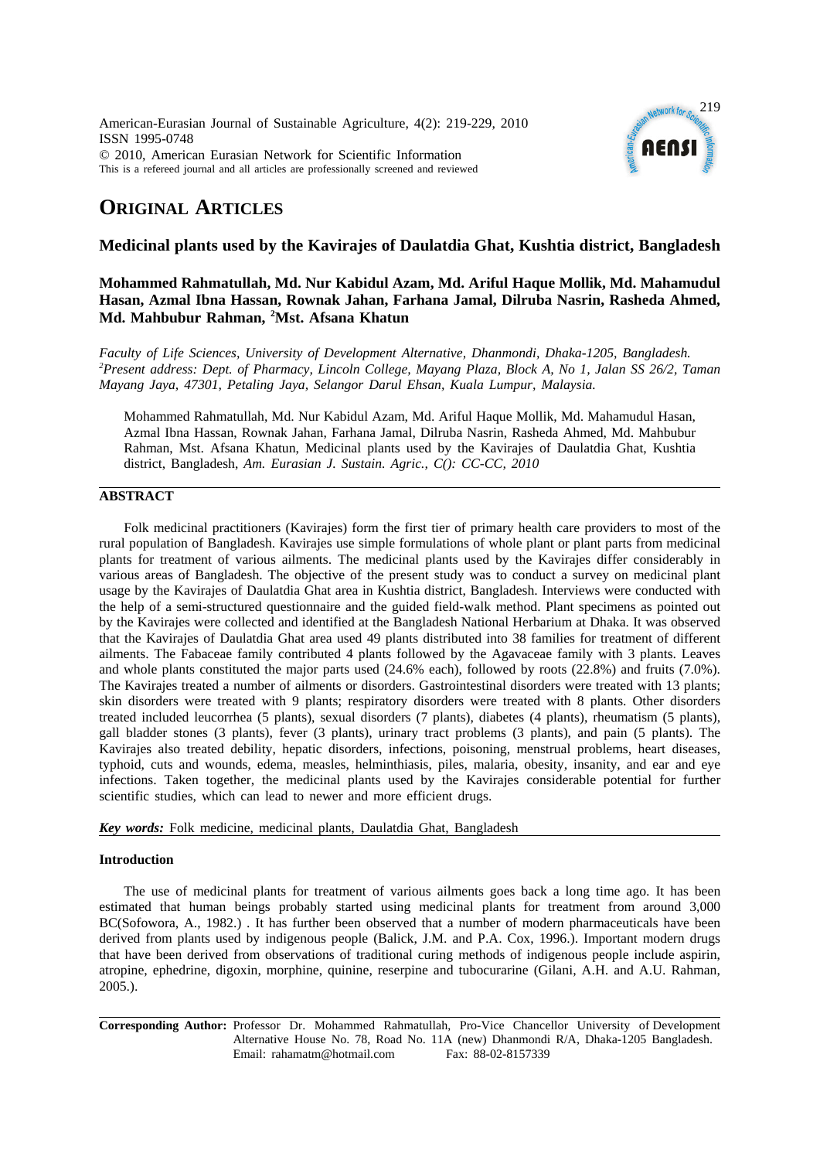American-Eurasian Journal of Sustainable Agriculture, 4(2): 219-229, 2010 ISSN 1995-0748 © 2010, American Eurasian Network for Scientific Information This is a refereed journal and all articles are professionally screened and reviewed



# **ORIGINAL ARTICLES**

# **Medicinal plants used by the Kavirajes of Daulatdia Ghat, Kushtia district, Bangladesh**

# **Mohammed Rahmatullah, Md. Nur Kabidul Azam, Md. Ariful Haque Mollik, Md. Mahamudul Hasan, Azmal Ibna Hassan, Rownak Jahan, Farhana Jamal, Dilruba Nasrin, Rasheda Ahmed, Md. Mahbubur Rahman, 2 Mst. Afsana Khatun**

*Faculty of Life Sciences, University of Development Alternative, Dhanmondi, Dhaka-1205, Bangladesh. 2 Present address: Dept. of Pharmacy, Lincoln College, Mayang Plaza, Block A, No 1, Jalan SS 26/2, Taman Mayang Jaya, 47301, Petaling Jaya, Selangor Darul Ehsan, Kuala Lumpur, Malaysia.*

Mohammed Rahmatullah, Md. Nur Kabidul Azam, Md. Ariful Haque Mollik, Md. Mahamudul Hasan, Azmal Ibna Hassan, Rownak Jahan, Farhana Jamal, Dilruba Nasrin, Rasheda Ahmed, Md. Mahbubur Rahman, Mst. Afsana Khatun, Medicinal plants used by the Kavirajes of Daulatdia Ghat, Kushtia district, Bangladesh, *Am. Eurasian J. Sustain. Agric., C(): CC-CC, 2010*

## **ABSTRACT**

Folk medicinal practitioners (Kavirajes) form the first tier of primary health care providers to most of the rural population of Bangladesh. Kavirajes use simple formulations of whole plant or plant parts from medicinal plants for treatment of various ailments. The medicinal plants used by the Kavirajes differ considerably in various areas of Bangladesh. The objective of the present study was to conduct a survey on medicinal plant usage by the Kavirajes of Daulatdia Ghat area in Kushtia district, Bangladesh. Interviews were conducted with the help of a semi-structured questionnaire and the guided field-walk method. Plant specimens as pointed out by the Kavirajes were collected and identified at the Bangladesh National Herbarium at Dhaka. It was observed that the Kavirajes of Daulatdia Ghat area used 49 plants distributed into 38 families for treatment of different ailments. The Fabaceae family contributed 4 plants followed by the Agavaceae family with 3 plants. Leaves and whole plants constituted the major parts used (24.6% each), followed by roots (22.8%) and fruits (7.0%). The Kavirajes treated a number of ailments or disorders. Gastrointestinal disorders were treated with 13 plants; skin disorders were treated with 9 plants; respiratory disorders were treated with 8 plants. Other disorders treated included leucorrhea (5 plants), sexual disorders (7 plants), diabetes (4 plants), rheumatism (5 plants), gall bladder stones (3 plants), fever (3 plants), urinary tract problems (3 plants), and pain (5 plants). The Kavirajes also treated debility, hepatic disorders, infections, poisoning, menstrual problems, heart diseases, typhoid, cuts and wounds, edema, measles, helminthiasis, piles, malaria, obesity, insanity, and ear and eye infections. Taken together, the medicinal plants used by the Kavirajes considerable potential for further scientific studies, which can lead to newer and more efficient drugs.

*Key words:* Folk medicine, medicinal plants, Daulatdia Ghat, Bangladesh

### **Introduction**

The use of medicinal plants for treatment of various ailments goes back a long time ago. It has been estimated that human beings probably started using medicinal plants for treatment from around 3,000 BC(Sofowora, A., 1982.) . It has further been observed that a number of modern pharmaceuticals have been derived from plants used by indigenous people (Balick, J.M. and P.A. Cox, 1996.). Important modern drugs that have been derived from observations of traditional curing methods of indigenous people include aspirin, atropine, ephedrine, digoxin, morphine, quinine, reserpine and tubocurarine (Gilani, A.H. and A.U. Rahman, 2005.).

**Corresponding Author:** Professor Dr. Mohammed Rahmatullah, Pro-Vice Chancellor University of Development Alternative House No. 78, Road No. 11A (new) Dhanmondi R/A, Dhaka-1205 Bangladesh. Email: rahamatm@hotmail.com Fax: 88-02-8157339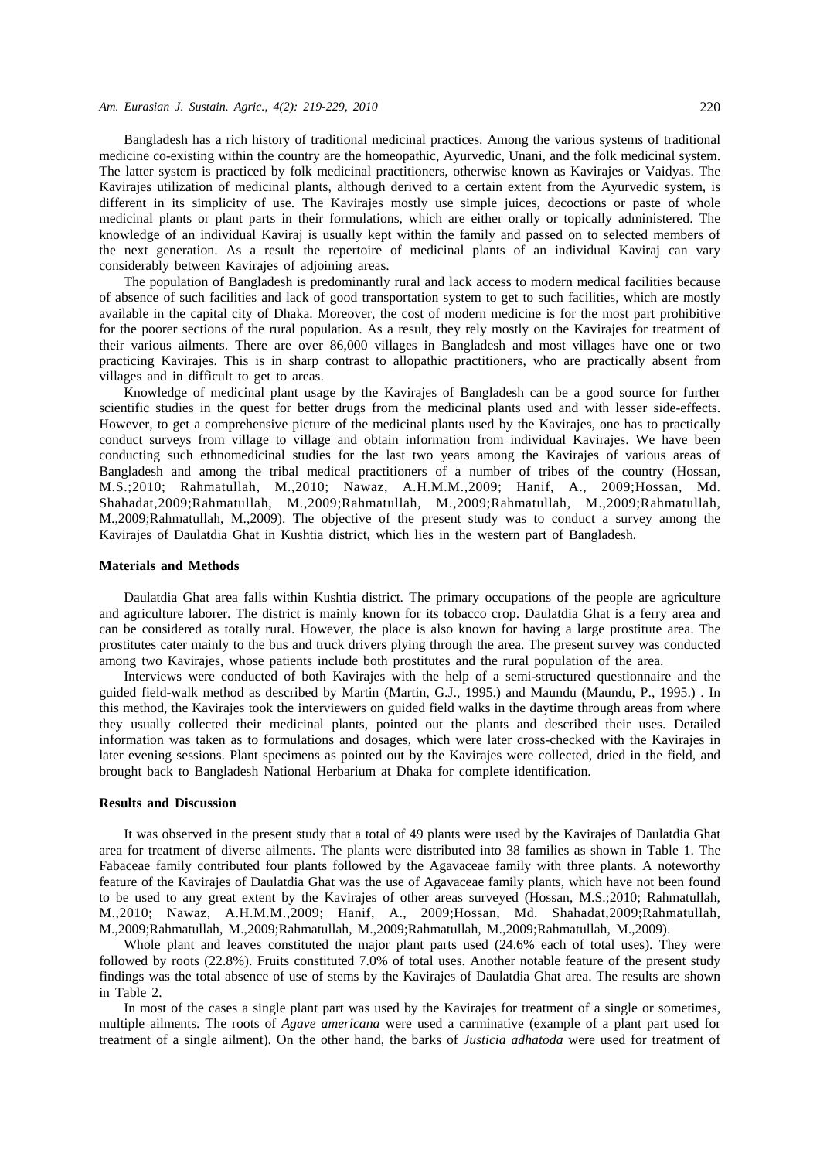#### *Am. Eurasian J. Sustain. Agric., 4(2): 219-229, 2010* 220

Bangladesh has a rich history of traditional medicinal practices. Among the various systems of traditional medicine co-existing within the country are the homeopathic, Ayurvedic, Unani, and the folk medicinal system. The latter system is practiced by folk medicinal practitioners, otherwise known as Kavirajes or Vaidyas. The Kavirajes utilization of medicinal plants, although derived to a certain extent from the Ayurvedic system, is different in its simplicity of use. The Kavirajes mostly use simple juices, decoctions or paste of whole medicinal plants or plant parts in their formulations, which are either orally or topically administered. The knowledge of an individual Kaviraj is usually kept within the family and passed on to selected members of the next generation. As a result the repertoire of medicinal plants of an individual Kaviraj can vary considerably between Kavirajes of adjoining areas.

The population of Bangladesh is predominantly rural and lack access to modern medical facilities because of absence of such facilities and lack of good transportation system to get to such facilities, which are mostly available in the capital city of Dhaka. Moreover, the cost of modern medicine is for the most part prohibitive for the poorer sections of the rural population. As a result, they rely mostly on the Kavirajes for treatment of their various ailments. There are over 86,000 villages in Bangladesh and most villages have one or two practicing Kavirajes. This is in sharp contrast to allopathic practitioners, who are practically absent from villages and in difficult to get to areas.

Knowledge of medicinal plant usage by the Kavirajes of Bangladesh can be a good source for further scientific studies in the quest for better drugs from the medicinal plants used and with lesser side-effects. However, to get a comprehensive picture of the medicinal plants used by the Kavirajes, one has to practically conduct surveys from village to village and obtain information from individual Kavirajes. We have been conducting such ethnomedicinal studies for the last two years among the Kavirajes of various areas of Bangladesh and among the tribal medical practitioners of a number of tribes of the country (Hossan, M.S.;2010; Rahmatullah, M.,2010; Nawaz, A.H.M.M.,2009; Hanif, A., 2009;Hossan, Md. Shahadat,2009;Rahmatullah, M.,2009;Rahmatullah, M.,2009;Rahmatullah, M.,2009;Rahmatullah, M.,2009;Rahmatullah, M.,2009). The objective of the present study was to conduct a survey among the Kavirajes of Daulatdia Ghat in Kushtia district, which lies in the western part of Bangladesh.

### **Materials and Methods**

Daulatdia Ghat area falls within Kushtia district. The primary occupations of the people are agriculture and agriculture laborer. The district is mainly known for its tobacco crop. Daulatdia Ghat is a ferry area and can be considered as totally rural. However, the place is also known for having a large prostitute area. The prostitutes cater mainly to the bus and truck drivers plying through the area. The present survey was conducted among two Kavirajes, whose patients include both prostitutes and the rural population of the area.

Interviews were conducted of both Kavirajes with the help of a semi-structured questionnaire and the guided field-walk method as described by Martin (Martin, G.J., 1995.) and Maundu (Maundu, P., 1995.) . In this method, the Kavirajes took the interviewers on guided field walks in the daytime through areas from where they usually collected their medicinal plants, pointed out the plants and described their uses. Detailed information was taken as to formulations and dosages, which were later cross-checked with the Kavirajes in later evening sessions. Plant specimens as pointed out by the Kavirajes were collected, dried in the field, and brought back to Bangladesh National Herbarium at Dhaka for complete identification.

### **Results and Discussion**

It was observed in the present study that a total of 49 plants were used by the Kavirajes of Daulatdia Ghat area for treatment of diverse ailments. The plants were distributed into 38 families as shown in Table 1. The Fabaceae family contributed four plants followed by the Agavaceae family with three plants. A noteworthy feature of the Kavirajes of Daulatdia Ghat was the use of Agavaceae family plants, which have not been found to be used to any great extent by the Kavirajes of other areas surveyed (Hossan, M.S.;2010; Rahmatullah, M.,2010; Nawaz, A.H.M.M.,2009; Hanif, A., 2009;Hossan, Md. Shahadat,2009;Rahmatullah, M.,2009;Rahmatullah, M.,2009;Rahmatullah, M.,2009;Rahmatullah, M.,2009;Rahmatullah, M.,2009).

Whole plant and leaves constituted the major plant parts used (24.6% each of total uses). They were followed by roots (22.8%). Fruits constituted 7.0% of total uses. Another notable feature of the present study findings was the total absence of use of stems by the Kavirajes of Daulatdia Ghat area. The results are shown in Table 2.

In most of the cases a single plant part was used by the Kavirajes for treatment of a single or sometimes, multiple ailments. The roots of *Agave americana* were used a carminative (example of a plant part used for treatment of a single ailment). On the other hand, the barks of *Justicia adhatoda* were used for treatment of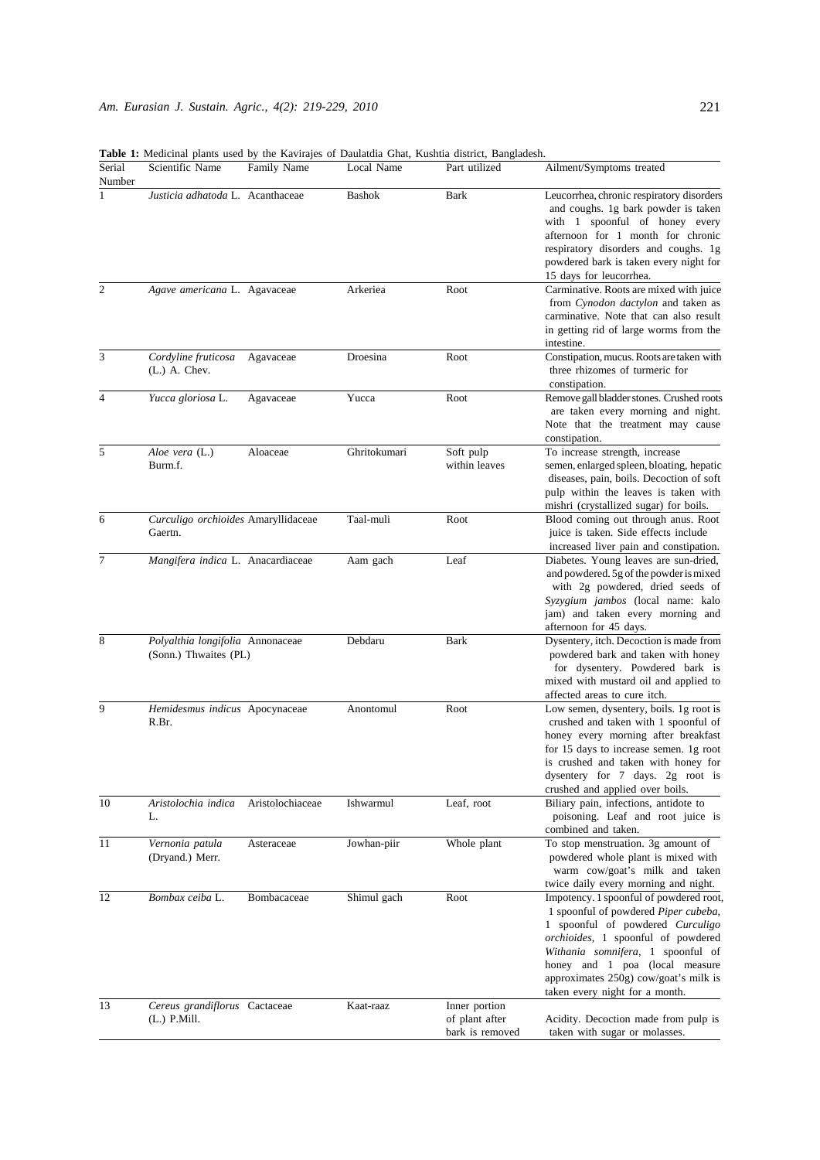|                  | Table 1. Medicinal plants asca by the Kavinges of Dadiatura Ghat, Kashtia district, Dangiadesh. |                  |               |                                                    |                                                                                                                                                                                                                                                                                                             |
|------------------|-------------------------------------------------------------------------------------------------|------------------|---------------|----------------------------------------------------|-------------------------------------------------------------------------------------------------------------------------------------------------------------------------------------------------------------------------------------------------------------------------------------------------------------|
| Serial<br>Number | Scientific Name                                                                                 | Family Name      | Local Name    | Part utilized                                      | Ailment/Symptoms treated                                                                                                                                                                                                                                                                                    |
| 1                | Justicia adhatoda L. Acanthaceae                                                                |                  | <b>Bashok</b> | <b>Bark</b>                                        | Leucorrhea, chronic respiratory disorders<br>and coughs. 1g bark powder is taken<br>with 1 spoonful of honey every<br>afternoon for 1 month for chronic<br>respiratory disorders and coughs. 1g<br>powdered bark is taken every night for<br>15 days for leucorrhea.                                        |
| 2                | Agave americana L. Agavaceae                                                                    |                  | Arkeriea      | Root                                               | Carminative. Roots are mixed with juice<br>from Cynodon dactylon and taken as<br>carminative. Note that can also result<br>in getting rid of large worms from the<br>intestine.                                                                                                                             |
| 3                | Cordyline fruticosa<br>$(L.)$ A. Chev.                                                          | Agavaceae        | Droesina      | Root                                               | Constipation, mucus. Roots are taken with<br>three rhizomes of turmeric for<br>constipation.                                                                                                                                                                                                                |
| 4                | Yucca gloriosa L.                                                                               | Agavaceae        | Yucca         | Root                                               | Remove gall bladder stones. Crushed roots<br>are taken every morning and night.<br>Note that the treatment may cause<br>constipation.                                                                                                                                                                       |
| 5                | Aloe vera (L.)<br>Burm.f.                                                                       | Aloaceae         | Ghritokumari  | Soft pulp<br>within leaves                         | To increase strength, increase<br>semen, enlarged spleen, bloating, hepatic<br>diseases, pain, boils. Decoction of soft<br>pulp within the leaves is taken with<br>mishri (crystallized sugar) for boils.                                                                                                   |
| 6                | Curculigo orchioides Amaryllidaceae<br>Gaertn.                                                  |                  | Taal-muli     | Root                                               | Blood coming out through anus. Root<br>juice is taken. Side effects include<br>increased liver pain and constipation.                                                                                                                                                                                       |
| 7                | Mangifera indica L. Anacardiaceae                                                               |                  | Aam gach      | Leaf                                               | Diabetes. Young leaves are sun-dried,<br>and powdered. 5g of the powder is mixed<br>with 2g powdered, dried seeds of<br>Syzygium jambos (local name: kalo<br>jam) and taken every morning and<br>afternoon for 45 days.                                                                                     |
| 8                | Polyalthia longifolia Annonaceae<br>(Sonn.) Thwaites (PL)                                       |                  | Debdaru       | <b>Bark</b>                                        | Dysentery, itch. Decoction is made from<br>powdered bark and taken with honey<br>for dysentery. Powdered bark is<br>mixed with mustard oil and applied to<br>affected areas to cure itch.                                                                                                                   |
| 9                | Hemidesmus indicus Apocynaceae<br>R.Br.                                                         |                  | Anontomul     | Root                                               | Low semen, dysentery, boils. 1g root is<br>crushed and taken with 1 spoonful of<br>honey every morning after breakfast<br>for 15 days to increase semen. 1g root<br>is crushed and taken with honey for<br>dysentery for 7 days. 2g root is<br>crushed and applied over boils.                              |
| 10               | Aristolochia indica<br>L.                                                                       | Aristolochiaceae | Ishwarmul     | Leaf, root                                         | Biliary pain, infections, antidote to<br>poisoning. Leaf and root juice is<br>combined and taken.                                                                                                                                                                                                           |
| 11               | Vernonia patula<br>(Dryand.) Merr.                                                              | Asteraceae       | Jowhan-piir   | Whole plant                                        | To stop menstruation. 3g amount of<br>powdered whole plant is mixed with<br>warm cow/goat's milk and taken<br>twice daily every morning and night.                                                                                                                                                          |
| 12               | Bombax ceiba L.                                                                                 | Bombacaceae      | Shimul gach   | Root                                               | Impotency. 1 spoonful of powdered root,<br>1 spoonful of powdered Piper cubeba,<br>1 spoonful of powdered Curculigo<br>orchioides, 1 spoonful of powdered<br>Withania somnifera, 1 spoonful of<br>honey and 1 poa (local measure<br>approximates 250g) cow/goat's milk is<br>taken every night for a month. |
| 13               | Cereus grandiflorus Cactaceae<br>$(L.)$ P.Mill.                                                 |                  | Kaat-raaz     | Inner portion<br>of plant after<br>bark is removed | Acidity. Decoction made from pulp is<br>taken with sugar or molasses.                                                                                                                                                                                                                                       |

**Table 1:** Medicinal plants used by the Kavirajes of Daulatdia Ghat, Kushtia district, Bangladesh.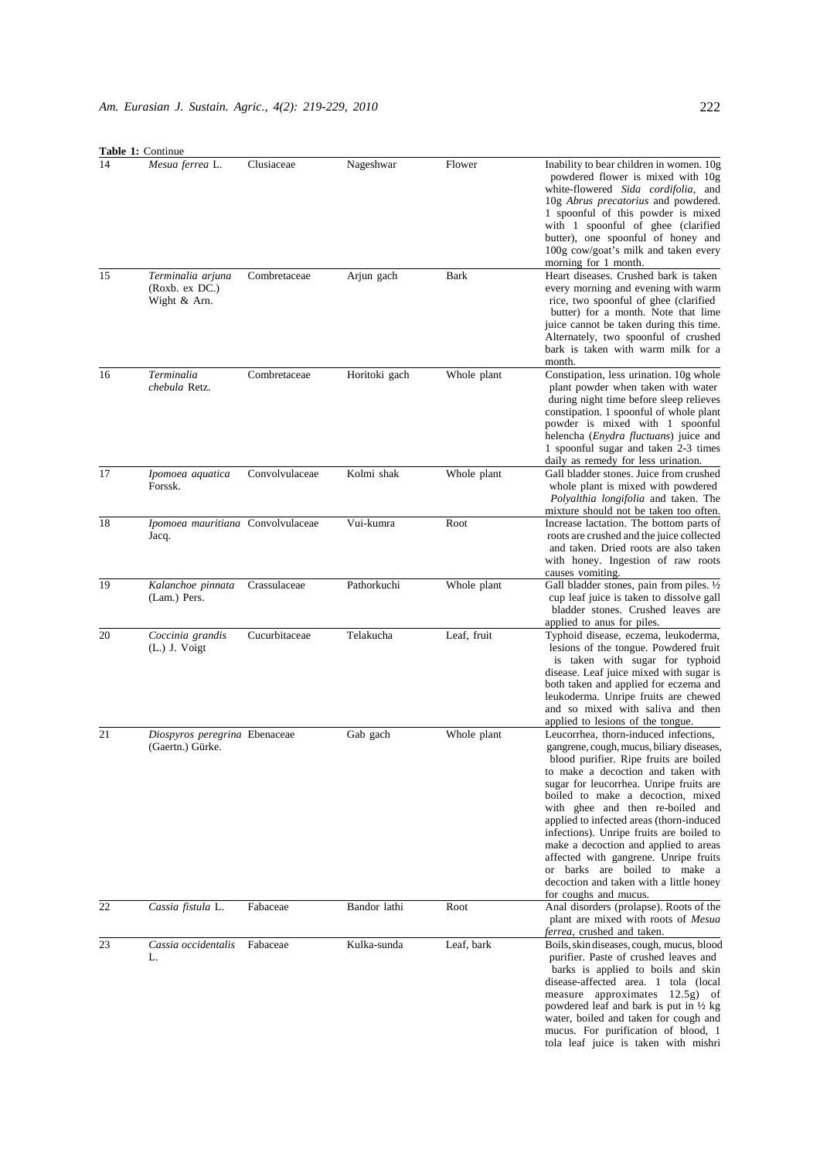**Table 1:** Contin

|    | <b>Table 1:</b> Continue                            |                |               |             |                                                                                                                                                                                                                                                                                                                                                                                                                                                                                                                                                                       |
|----|-----------------------------------------------------|----------------|---------------|-------------|-----------------------------------------------------------------------------------------------------------------------------------------------------------------------------------------------------------------------------------------------------------------------------------------------------------------------------------------------------------------------------------------------------------------------------------------------------------------------------------------------------------------------------------------------------------------------|
| 14 | Mesua ferrea L.                                     | Clusiaceae     | Nageshwar     | Flower      | Inability to bear children in women. 10g<br>powdered flower is mixed with 10g<br>white-flowered Sida cordifolia, and<br>10g Abrus precatorius and powdered.<br>1 spoonful of this powder is mixed<br>with 1 spoonful of ghee (clarified<br>butter), one spoonful of honey and<br>100g cow/goat's milk and taken every<br>morning for 1 month.                                                                                                                                                                                                                         |
| 15 | Terminalia arjuna<br>(Roxb. ex DC.)<br>Wight & Arn. | Combretaceae   | Arjun gach    | <b>Bark</b> | Heart diseases. Crushed bark is taken<br>every morning and evening with warm<br>rice, two spoonful of ghee (clarified<br>butter) for a month. Note that lime<br>juice cannot be taken during this time.<br>Alternately, two spoonful of crushed<br>bark is taken with warm milk for a<br>month.                                                                                                                                                                                                                                                                       |
| 16 | Terminalia<br>chebula Retz.                         | Combretaceae   | Horitoki gach | Whole plant | Constipation, less urination. 10g whole<br>plant powder when taken with water<br>during night time before sleep relieves<br>constipation. 1 spoonful of whole plant<br>powder is mixed with 1 spoonful<br>helencha ( <i>Enydra fluctuans</i> ) juice and<br>1 spoonful sugar and taken 2-3 times<br>daily as remedy for less urination.                                                                                                                                                                                                                               |
| 17 | Ipomoea aquatica<br>Forssk.                         | Convolvulaceae | Kolmi shak    | Whole plant | Gall bladder stones. Juice from crushed<br>whole plant is mixed with powdered<br><i>Polyalthia longifolia</i> and taken. The<br>mixture should not be taken too often.                                                                                                                                                                                                                                                                                                                                                                                                |
| 18 | Ipomoea mauritiana Convolvulaceae<br>Jacq.          |                | Vui-kumra     | Root        | Increase lactation. The bottom parts of<br>roots are crushed and the juice collected<br>and taken. Dried roots are also taken<br>with honey. Ingestion of raw roots<br>causes vomiting.                                                                                                                                                                                                                                                                                                                                                                               |
| 19 | Kalanchoe pinnata<br>(Lam.) Pers.                   | Crassulaceae   | Pathorkuchi   | Whole plant | Gall bladder stones, pain from piles. $\frac{1}{2}$<br>cup leaf juice is taken to dissolve gall<br>bladder stones. Crushed leaves are<br>applied to anus for piles.                                                                                                                                                                                                                                                                                                                                                                                                   |
| 20 | Coccinia grandis<br>$(L.)$ J. Voigt                 | Cucurbitaceae  | Telakucha     | Leaf, fruit | Typhoid disease, eczema, leukoderma,<br>lesions of the tongue. Powdered fruit<br>is taken with sugar for typhoid<br>disease. Leaf juice mixed with sugar is<br>both taken and applied for eczema and<br>leukoderma. Unripe fruits are chewed<br>and so mixed with saliva and then<br>applied to lesions of the tongue.                                                                                                                                                                                                                                                |
| 21 | Diospyros peregrina Ebenaceae<br>(Gaertn.) Gürke.   |                | Gab gach      | Whole plant | Leucorrhea, thorn-induced infections,<br>gangrene, cough, mucus, biliary diseases,<br>blood purifier. Ripe fruits are boiled<br>to make a decoction and taken with<br>sugar for leucorrhea. Unripe fruits are<br>boiled to make a decoction, mixed<br>with ghee and then re-boiled and<br>applied to infected areas (thorn-induced<br>infections). Unripe fruits are boiled to<br>make a decoction and applied to areas<br>affected with gangrene. Unripe fruits<br>or barks are boiled to make a<br>decoction and taken with a little honey<br>for coughs and mucus. |
| 22 | Cassia fistula L.                                   | Fabaceae       | Bandor lathi  | Root        | Anal disorders (prolapse). Roots of the<br>plant are mixed with roots of <i>Mesua</i><br><i>ferrea</i> , crushed and taken.                                                                                                                                                                                                                                                                                                                                                                                                                                           |
| 23 | Cassia occidentalis<br>L.                           | Fabaceae       | Kulka-sunda   | Leaf, bark  | Boils, skin diseases, cough, mucus, blood<br>purifier. Paste of crushed leaves and<br>barks is applied to boils and skin<br>disease-affected area. 1 tola (local<br>measure approximates 12.5g) of<br>powdered leaf and bark is put in $\frac{1}{2}$ kg<br>water, boiled and taken for cough and<br>mucus. For purification of blood, 1<br>tola leaf juice is taken with mishri                                                                                                                                                                                       |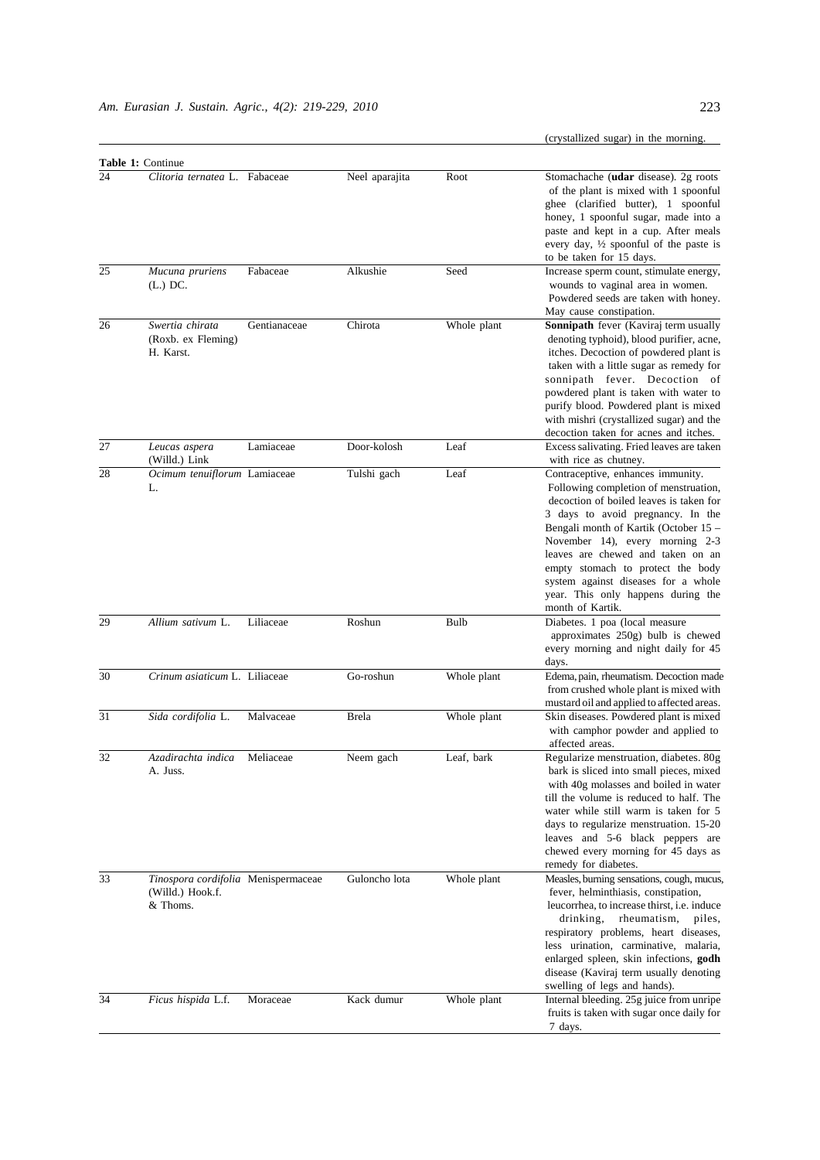(crystallized sugar) in the morning.

|    | <b>Table 1: Continue</b>                                            |              |                |             |                                                                                                                                                                                                                                                                                                                                                                                                                   |
|----|---------------------------------------------------------------------|--------------|----------------|-------------|-------------------------------------------------------------------------------------------------------------------------------------------------------------------------------------------------------------------------------------------------------------------------------------------------------------------------------------------------------------------------------------------------------------------|
| 24 | Clitoria ternatea L. Fabaceae                                       |              | Neel aparajita | Root        | Stomachache (udar disease). 2g roots<br>of the plant is mixed with 1 spoonful<br>ghee (clarified butter), 1 spoonful<br>honey, 1 spoonful sugar, made into a<br>paste and kept in a cup. After meals<br>every day, $\frac{1}{2}$ spoonful of the paste is<br>to be taken for 15 days.                                                                                                                             |
| 25 | Mucuna pruriens<br>$(L.)$ DC.                                       | Fabaceae     | Alkushie       | Seed        | Increase sperm count, stimulate energy,<br>wounds to vaginal area in women.<br>Powdered seeds are taken with honey.<br>May cause constipation.                                                                                                                                                                                                                                                                    |
| 26 | Swertia chirata<br>(Roxb. ex Fleming)<br>H. Karst.                  | Gentianaceae | Chirota        | Whole plant | Sonnipath fever (Kaviraj term usually<br>denoting typhoid), blood purifier, acne,<br>itches. Decoction of powdered plant is<br>taken with a little sugar as remedy for<br>sonnipath fever. Decoction of<br>powdered plant is taken with water to<br>purify blood. Powdered plant is mixed<br>with mishri (crystallized sugar) and the<br>decoction taken for acnes and itches.                                    |
| 27 | Leucas aspera<br>(Willd.) Link                                      | Lamiaceae    | Door-kolosh    | Leaf        | Excess salivating. Fried leaves are taken<br>with rice as chutney.                                                                                                                                                                                                                                                                                                                                                |
| 28 | Ocimum tenuiflorum Lamiaceae<br>L.                                  |              | Tulshi gach    | Leaf        | Contraceptive, enhances immunity.<br>Following completion of menstruation,<br>decoction of boiled leaves is taken for<br>3 days to avoid pregnancy. In the<br>Bengali month of Kartik (October 15 -<br>November 14), every morning 2-3<br>leaves are chewed and taken on an<br>empty stomach to protect the body<br>system against diseases for a whole<br>year. This only happens during the<br>month of Kartik. |
| 29 | Allium sativum L.                                                   | Liliaceae    | Roshun         | Bulb        | Diabetes. 1 poa (local measure<br>approximates 250g) bulb is chewed<br>every morning and night daily for 45<br>days.                                                                                                                                                                                                                                                                                              |
| 30 | Crinum asiaticum L. Liliaceae                                       |              | Go-roshun      | Whole plant | Edema, pain, rheumatism. Decoction made<br>from crushed whole plant is mixed with<br>mustard oil and applied to affected areas.                                                                                                                                                                                                                                                                                   |
| 31 | Sida cordifolia L.                                                  | Malvaceae    | <b>Brela</b>   | Whole plant | Skin diseases. Powdered plant is mixed<br>with camphor powder and applied to<br>affected areas.                                                                                                                                                                                                                                                                                                                   |
| 32 | Azadirachta indica<br>A. Juss.                                      | Meliaceae    | Neem gach      | Leaf, bark  | Regularize menstruation, diabetes. 80g<br>bark is sliced into small pieces, mixed<br>with 40g molasses and boiled in water<br>till the volume is reduced to half. The<br>water while still warm is taken for 5<br>days to regularize menstruation. 15-20<br>leaves and 5-6 black peppers are<br>chewed every morning for 45 days as<br>remedy for diabetes.                                                       |
| 33 | Tinospora cordifolia Menispermaceae<br>(Willd.) Hook.f.<br>& Thoms. |              | Guloncho lota  | Whole plant | Measles, burning sensations, cough, mucus.<br>fever, helminthiasis, constipation,<br>leucorrhea, to increase thirst, <i>i.e.</i> induce<br>rheumatism,<br>drinking,<br>piles,<br>respiratory problems, heart diseases,<br>less urination, carminative, malaria,<br>enlarged spleen, skin infections, <b>godh</b><br>disease (Kaviraj term usually denoting<br>swelling of legs and hands).                        |
| 34 | Ficus hispida L.f.                                                  | Moraceae     | Kack dumur     | Whole plant | Internal bleeding. 25g juice from unripe<br>fruits is taken with sugar once daily for<br>7 days.                                                                                                                                                                                                                                                                                                                  |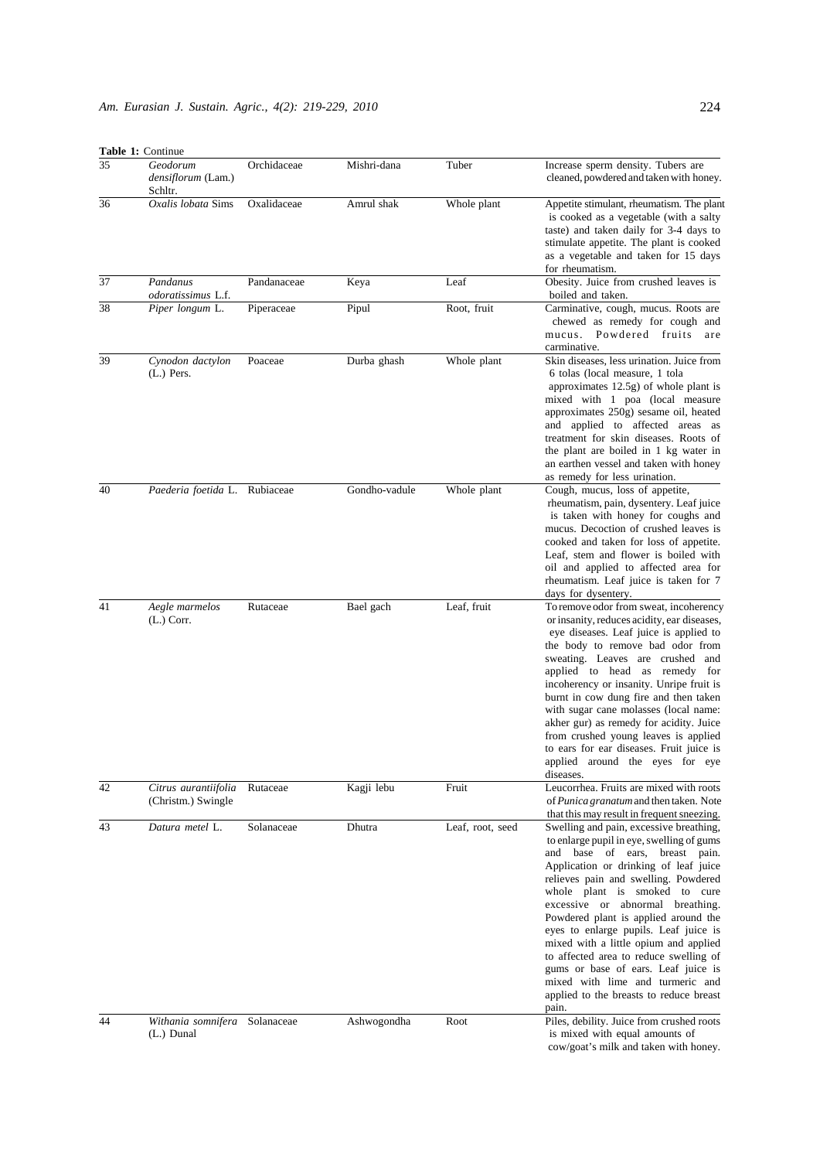|    | Table 1: Continue                          |             |               |                  |                                                                                                                                                                                                                                                                                                                                                                                                                                                                                                                                                                                 |
|----|--------------------------------------------|-------------|---------------|------------------|---------------------------------------------------------------------------------------------------------------------------------------------------------------------------------------------------------------------------------------------------------------------------------------------------------------------------------------------------------------------------------------------------------------------------------------------------------------------------------------------------------------------------------------------------------------------------------|
| 35 | Geodorum<br>densiflorum (Lam.)<br>Schltr.  | Orchidaceae | Mishri-dana   | Tuber            | Increase sperm density. Tubers are<br>cleaned, powdered and taken with honey.                                                                                                                                                                                                                                                                                                                                                                                                                                                                                                   |
| 36 | Oxalis lobata Sims                         | Oxalidaceae | Amrul shak    | Whole plant      | Appetite stimulant, rheumatism. The plant<br>is cooked as a vegetable (with a salty<br>taste) and taken daily for 3-4 days to<br>stimulate appetite. The plant is cooked<br>as a vegetable and taken for 15 days<br>for rheumatism.                                                                                                                                                                                                                                                                                                                                             |
| 37 | Pandanus<br><i>odoratissimus</i> L.f.      | Pandanaceae | Keya          | Leaf             | Obesity. Juice from crushed leaves is<br>boiled and taken.                                                                                                                                                                                                                                                                                                                                                                                                                                                                                                                      |
| 38 | Piper longum L.                            | Piperaceae  | Pipul         | Root, fruit      | Carminative, cough, mucus. Roots are<br>chewed as remedy for cough and<br>Powdered fruits<br>mucus.<br>are<br>carminative.                                                                                                                                                                                                                                                                                                                                                                                                                                                      |
| 39 | Cynodon dactylon<br>$(L.)$ Pers.           | Poaceae     | Durba ghash   | Whole plant      | Skin diseases, less urination. Juice from<br>6 tolas (local measure, 1 tola<br>approximates $12.5g$ ) of whole plant is<br>mixed with 1 poa (local measure<br>approximates 250g) sesame oil, heated<br>and applied to affected areas as<br>treatment for skin diseases. Roots of<br>the plant are boiled in 1 kg water in<br>an earthen vessel and taken with honey<br>as remedy for less urination.                                                                                                                                                                            |
| 40 | Paederia foetida L. Rubiaceae              |             | Gondho-vadule | Whole plant      | Cough, mucus, loss of appetite,<br>rheumatism, pain, dysentery. Leaf juice<br>is taken with honey for coughs and<br>mucus. Decoction of crushed leaves is<br>cooked and taken for loss of appetite.<br>Leaf, stem and flower is boiled with<br>oil and applied to affected area for<br>rheumatism. Leaf juice is taken for 7<br>days for dysentery.                                                                                                                                                                                                                             |
| 41 | Aegle marmelos<br>$(L.)$ Corr.             | Rutaceae    | Bael gach     | Leaf, fruit      | To remove odor from sweat, incoherency<br>or insanity, reduces acidity, ear diseases,<br>eye diseases. Leaf juice is applied to<br>the body to remove bad odor from<br>sweating. Leaves are crushed and<br>applied to head as remedy for<br>incoherency or insanity. Unripe fruit is<br>burnt in cow dung fire and then taken<br>with sugar cane molasses (local name:<br>akher gur) as remedy for acidity. Juice<br>from crushed young leaves is applied<br>to ears for ear diseases. Fruit juice is<br>applied around the eyes for eye<br>diseases.                           |
| 42 | Citrus aurantiifolia<br>(Christm.) Swingle | Rutaceae    | Kagji lebu    | Fruit            | Leucorrhea. Fruits are mixed with roots<br>of <i>Punica granatum</i> and then taken. Note<br>that this may result in frequent sneezing.                                                                                                                                                                                                                                                                                                                                                                                                                                         |
| 43 | Datura metel L.                            | Solanaceae  | Dhutra        | Leaf, root, seed | Swelling and pain, excessive breathing,<br>to enlarge pupil in eye, swelling of gums<br>and base of ears, breast pain.<br>Application or drinking of leaf juice<br>relieves pain and swelling. Powdered<br>whole plant is smoked to cure<br>excessive or abnormal breathing.<br>Powdered plant is applied around the<br>eyes to enlarge pupils. Leaf juice is<br>mixed with a little opium and applied<br>to affected area to reduce swelling of<br>gums or base of ears. Leaf juice is<br>mixed with lime and turmeric and<br>applied to the breasts to reduce breast<br>pain. |
| 44 | Withania somnifera<br>(L.) Dunal           | Solanaceae  | Ashwogondha   | Root             | Piles, debility. Juice from crushed roots<br>is mixed with equal amounts of<br>cow/goat's milk and taken with honey.                                                                                                                                                                                                                                                                                                                                                                                                                                                            |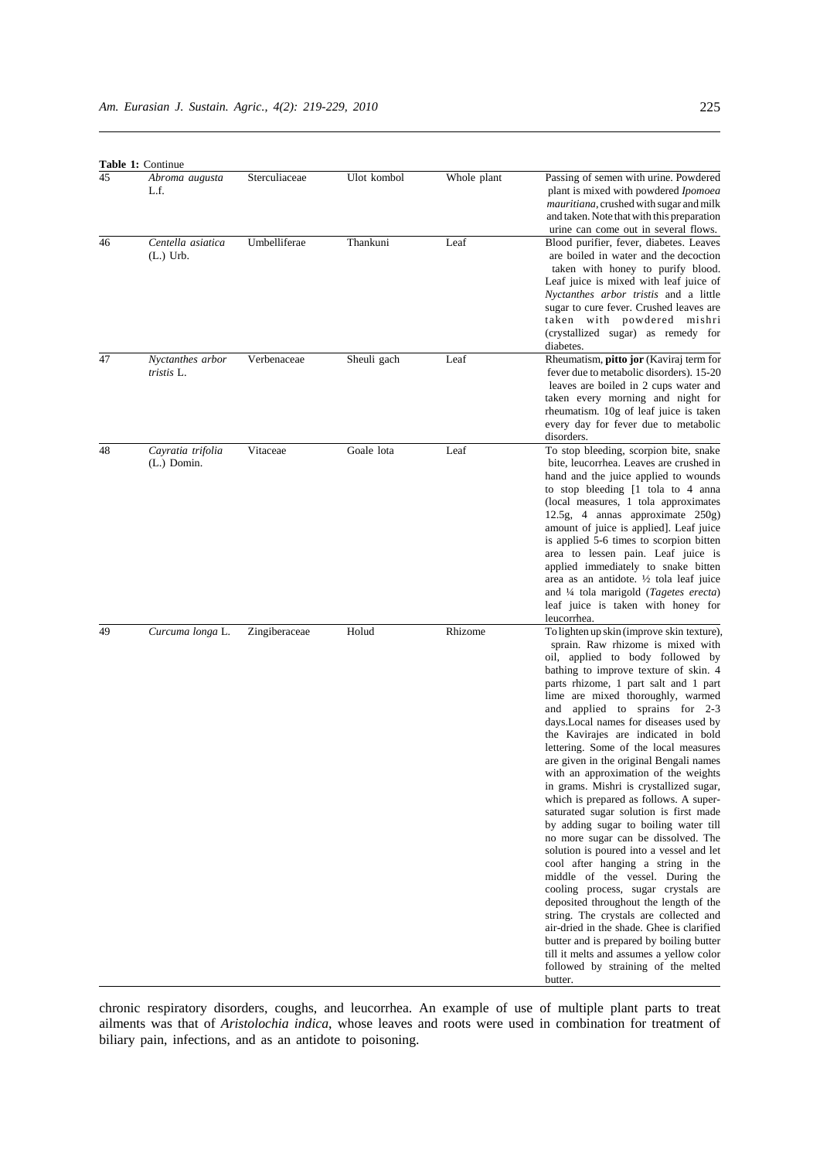| <b>Table 1: Continue</b> |  |
|--------------------------|--|
|--------------------------|--|

| 45 | rable 1: Continue<br>Abroma augusta<br>L.f. | Sterculiaceae | Ulot kombol | Whole plant | Passing of semen with urine. Powdered<br>plant is mixed with powdered <i>Ipomoea</i>                                                                                                                                                                                                                                                                                                                                                                                                                                                                                                                                                                                                                                                                                                                                                                                                                                                                                                                                                                                                                                                             |
|----|---------------------------------------------|---------------|-------------|-------------|--------------------------------------------------------------------------------------------------------------------------------------------------------------------------------------------------------------------------------------------------------------------------------------------------------------------------------------------------------------------------------------------------------------------------------------------------------------------------------------------------------------------------------------------------------------------------------------------------------------------------------------------------------------------------------------------------------------------------------------------------------------------------------------------------------------------------------------------------------------------------------------------------------------------------------------------------------------------------------------------------------------------------------------------------------------------------------------------------------------------------------------------------|
|    |                                             |               |             |             | mauritiana, crushed with sugar and milk<br>and taken. Note that with this preparation<br>urine can come out in several flows.                                                                                                                                                                                                                                                                                                                                                                                                                                                                                                                                                                                                                                                                                                                                                                                                                                                                                                                                                                                                                    |
| 46 | Centella asiatica<br>$(L.)$ Urb.            | Umbelliferae  | Thankuni    | Leaf        | Blood purifier, fever, diabetes. Leaves<br>are boiled in water and the decoction<br>taken with honey to purify blood.<br>Leaf juice is mixed with leaf juice of<br><i>Nyctanthes arbor tristis</i> and a little<br>sugar to cure fever. Crushed leaves are<br>taken with powdered mishri<br>(crystallized sugar) as remedy for<br>diabetes.                                                                                                                                                                                                                                                                                                                                                                                                                                                                                                                                                                                                                                                                                                                                                                                                      |
| 47 | Nyctanthes arbor<br>tristis L.              | Verbenaceae   | Sheuli gach | Leaf        | Rheumatism, pitto jor (Kaviraj term for<br>fever due to metabolic disorders). 15-20<br>leaves are boiled in 2 cups water and<br>taken every morning and night for<br>rheumatism. 10g of leaf juice is taken<br>every day for fever due to metabolic<br>disorders.                                                                                                                                                                                                                                                                                                                                                                                                                                                                                                                                                                                                                                                                                                                                                                                                                                                                                |
| 48 | Cayratia trifolia<br>(L.) Domin.            | Vitaceae      | Goale lota  | Leaf        | To stop bleeding, scorpion bite, snake<br>bite, leucorrhea. Leaves are crushed in<br>hand and the juice applied to wounds<br>to stop bleeding [1 tola to 4 anna<br>(local measures, 1 tola approximates)<br>12.5g, 4 annas approximate 250g)<br>amount of juice is applied]. Leaf juice<br>is applied 5-6 times to scorpion bitten<br>area to lessen pain. Leaf juice is<br>applied immediately to snake bitten<br>area as an antidote. $\frac{1}{2}$ tola leaf juice<br>and $\frac{1}{4}$ tola marigold ( <i>Tagetes erecta</i> )<br>leaf juice is taken with honey for<br>leucorrhea.                                                                                                                                                                                                                                                                                                                                                                                                                                                                                                                                                          |
| 49 | Curcuma longa L.                            | Zingiberaceae | Holud       | Rhizome     | To lighten up skin (improve skin texture),<br>sprain. Raw rhizome is mixed with<br>oil, applied to body followed by<br>bathing to improve texture of skin. 4<br>parts rhizome, 1 part salt and 1 part<br>lime are mixed thoroughly, warmed<br>and applied to sprains for 2-3<br>days. Local names for diseases used by<br>the Kavirajes are indicated in bold<br>lettering. Some of the local measures<br>are given in the original Bengali names<br>with an approximation of the weights<br>in grams. Mishri is crystallized sugar,<br>which is prepared as follows. A super-<br>saturated sugar solution is first made<br>by adding sugar to boiling water till<br>no more sugar can be dissolved. The<br>solution is poured into a vessel and let<br>cool after hanging a string in the<br>middle of the vessel. During the<br>cooling process, sugar crystals are<br>deposited throughout the length of the<br>string. The crystals are collected and<br>air-dried in the shade. Ghee is clarified<br>butter and is prepared by boiling butter<br>till it melts and assumes a yellow color<br>followed by straining of the melted<br>butter. |

chronic respiratory disorders, coughs, and leucorrhea. An example of use of multiple plant parts to treat ailments was that of *Aristolochia indica*, whose leaves and roots were used in combination for treatment of biliary pain, infections, and as an antidote to poisoning.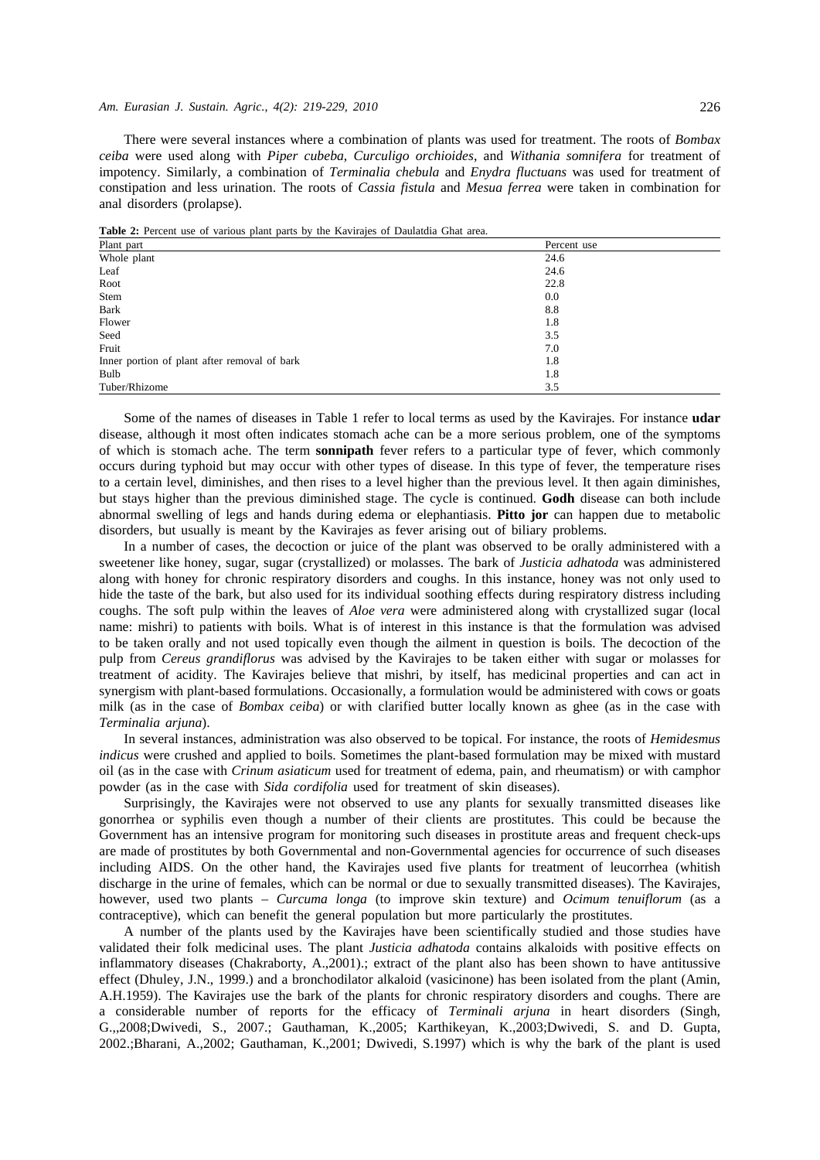#### *Am. Eurasian J. Sustain. Agric., 4(2): 219-229, 2010* 226

There were several instances where a combination of plants was used for treatment. The roots of *Bombax ceiba* were used along with *Piper cubeba*, *Curculigo orchioides*, and *Withania somnifera* for treatment of impotency. Similarly, a combination of *Terminalia chebula* and *Enydra fluctuans* was used for treatment of constipation and less urination. The roots of *Cassia fistula* and *Mesua ferrea* were taken in combination for anal disorders (prolapse).

| <b>Table 2.</b> Ferent ase of vallous plant parts by the Kavilajes of Daulatura Ghat area. |             |
|--------------------------------------------------------------------------------------------|-------------|
| Plant part                                                                                 | Percent use |
| Whole plant                                                                                | 24.6        |
| Leaf                                                                                       | 24.6        |
| Root                                                                                       | 22.8        |
| Stem                                                                                       | 0.0         |
| Bark                                                                                       | 8.8         |
| Flower                                                                                     | 1.8         |
| Seed                                                                                       | 3.5         |
| Fruit                                                                                      | 7.0         |
| Inner portion of plant after removal of bark                                               | 1.8         |
| Bulb                                                                                       | 1.8         |
| Tuber/Rhizome                                                                              | 3.5         |

**Table 2:** Percent use of various plant parts by the Kavirajes of Daulatdia Ghat area.

Some of the names of diseases in Table 1 refer to local terms as used by the Kavirajes. For instance **udar** disease, although it most often indicates stomach ache can be a more serious problem, one of the symptoms of which is stomach ache. The term **sonnipath** fever refers to a particular type of fever, which commonly occurs during typhoid but may occur with other types of disease. In this type of fever, the temperature rises to a certain level, diminishes, and then rises to a level higher than the previous level. It then again diminishes, but stays higher than the previous diminished stage. The cycle is continued. **Godh** disease can both include abnormal swelling of legs and hands during edema or elephantiasis. **Pitto jor** can happen due to metabolic disorders, but usually is meant by the Kavirajes as fever arising out of biliary problems.

In a number of cases, the decoction or juice of the plant was observed to be orally administered with a sweetener like honey, sugar, sugar (crystallized) or molasses. The bark of *Justicia adhatoda* was administered along with honey for chronic respiratory disorders and coughs. In this instance, honey was not only used to hide the taste of the bark, but also used for its individual soothing effects during respiratory distress including coughs. The soft pulp within the leaves of *Aloe vera* were administered along with crystallized sugar (local name: mishri) to patients with boils. What is of interest in this instance is that the formulation was advised to be taken orally and not used topically even though the ailment in question is boils. The decoction of the pulp from *Cereus grandiflorus* was advised by the Kavirajes to be taken either with sugar or molasses for treatment of acidity. The Kavirajes believe that mishri, by itself, has medicinal properties and can act in synergism with plant-based formulations. Occasionally, a formulation would be administered with cows or goats milk (as in the case of *Bombax ceiba*) or with clarified butter locally known as ghee (as in the case with *Terminalia arjuna*).

In several instances, administration was also observed to be topical. For instance, the roots of *Hemidesmus indicus* were crushed and applied to boils. Sometimes the plant-based formulation may be mixed with mustard oil (as in the case with *Crinum asiaticum* used for treatment of edema, pain, and rheumatism) or with camphor powder (as in the case with *Sida cordifolia* used for treatment of skin diseases).

Surprisingly, the Kavirajes were not observed to use any plants for sexually transmitted diseases like gonorrhea or syphilis even though a number of their clients are prostitutes. This could be because the Government has an intensive program for monitoring such diseases in prostitute areas and frequent check-ups are made of prostitutes by both Governmental and non-Governmental agencies for occurrence of such diseases including AIDS. On the other hand, the Kavirajes used five plants for treatment of leucorrhea (whitish discharge in the urine of females, which can be normal or due to sexually transmitted diseases). The Kavirajes, however, used two plants – *Curcuma longa* (to improve skin texture) and *Ocimum tenuiflorum* (as a contraceptive), which can benefit the general population but more particularly the prostitutes.

A number of the plants used by the Kavirajes have been scientifically studied and those studies have validated their folk medicinal uses. The plant *Justicia adhatoda* contains alkaloids with positive effects on inflammatory diseases (Chakraborty, A.,2001).; extract of the plant also has been shown to have antitussive effect (Dhuley, J.N., 1999.) and a bronchodilator alkaloid (vasicinone) has been isolated from the plant (Amin, A.H.1959). The Kavirajes use the bark of the plants for chronic respiratory disorders and coughs. There are a considerable number of reports for the efficacy of *Terminali arjuna* in heart disorders (Singh, G.,,2008;Dwivedi, S., 2007.; Gauthaman, K.,2005; Karthikeyan, K.,2003;Dwivedi, S. and D. Gupta, 2002.;Bharani, A.,2002; Gauthaman, K.,2001; Dwivedi, S.1997) which is why the bark of the plant is used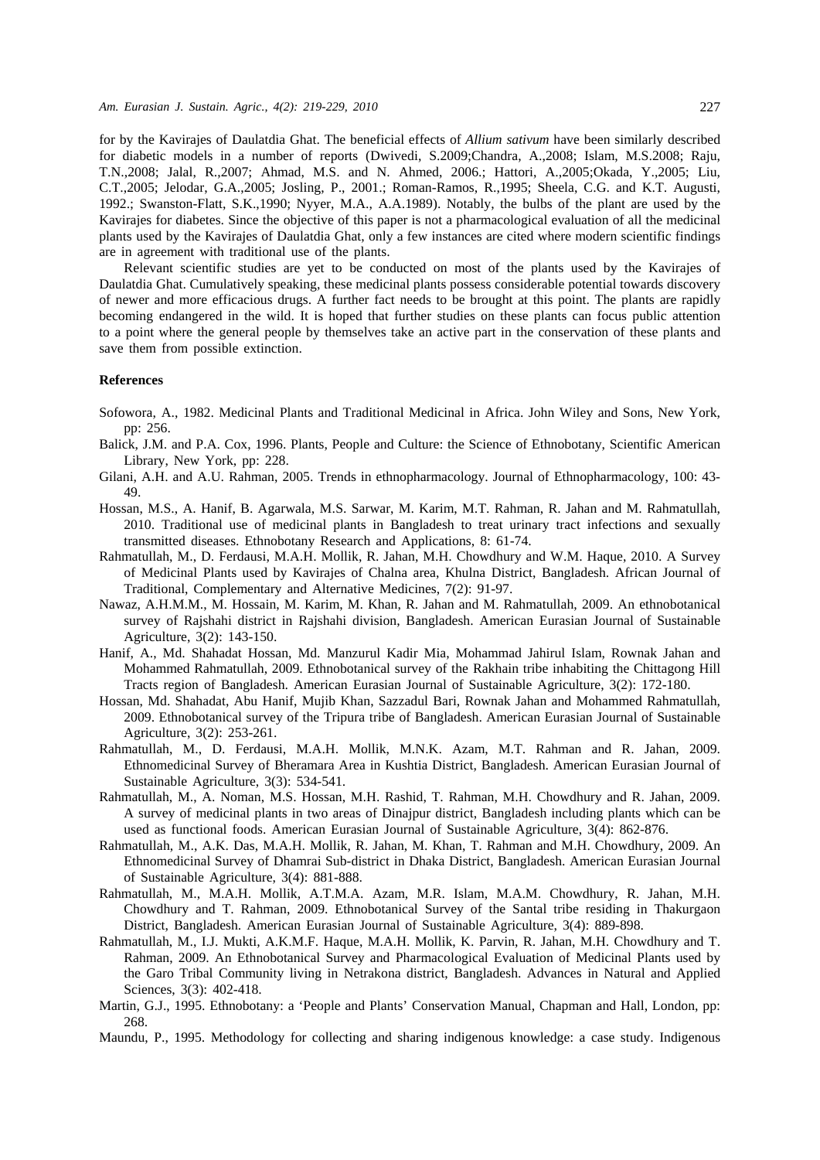for by the Kavirajes of Daulatdia Ghat. The beneficial effects of *Allium sativum* have been similarly described for diabetic models in a number of reports (Dwivedi, S.2009;Chandra, A.,2008; Islam, M.S.2008; Raju, T.N.,2008; Jalal, R.,2007; Ahmad, M.S. and N. Ahmed, 2006.; Hattori, A.,2005;Okada, Y.,2005; Liu, C.T.,2005; Jelodar, G.A.,2005; Josling, P., 2001.; Roman-Ramos, R.,1995; Sheela, C.G. and K.T. Augusti, 1992.; Swanston-Flatt, S.K.,1990; Nyyer, M.A., A.A.1989). Notably, the bulbs of the plant are used by the Kavirajes for diabetes. Since the objective of this paper is not a pharmacological evaluation of all the medicinal plants used by the Kavirajes of Daulatdia Ghat, only a few instances are cited where modern scientific findings are in agreement with traditional use of the plants.

Relevant scientific studies are yet to be conducted on most of the plants used by the Kavirajes of Daulatdia Ghat. Cumulatively speaking, these medicinal plants possess considerable potential towards discovery of newer and more efficacious drugs. A further fact needs to be brought at this point. The plants are rapidly becoming endangered in the wild. It is hoped that further studies on these plants can focus public attention to a point where the general people by themselves take an active part in the conservation of these plants and save them from possible extinction.

#### **References**

- Sofowora, A., 1982. Medicinal Plants and Traditional Medicinal in Africa. John Wiley and Sons, New York, pp: 256.
- Balick, J.M. and P.A. Cox, 1996. Plants, People and Culture: the Science of Ethnobotany, Scientific American Library, New York, pp: 228.
- Gilani, A.H. and A.U. Rahman, 2005. Trends in ethnopharmacology. Journal of Ethnopharmacology, 100: 43- 49.
- Hossan, M.S., A. Hanif, B. Agarwala, M.S. Sarwar, M. Karim, M.T. Rahman, R. Jahan and M. Rahmatullah, 2010. Traditional use of medicinal plants in Bangladesh to treat urinary tract infections and sexually transmitted diseases. Ethnobotany Research and Applications, 8: 61-74.
- Rahmatullah, M., D. Ferdausi, M.A.H. Mollik, R. Jahan, M.H. Chowdhury and W.M. Haque, 2010. A Survey of Medicinal Plants used by Kavirajes of Chalna area, Khulna District, Bangladesh. African Journal of Traditional, Complementary and Alternative Medicines, 7(2): 91-97.
- Nawaz, A.H.M.M., M. Hossain, M. Karim, M. Khan, R. Jahan and M. Rahmatullah, 2009. An ethnobotanical survey of Rajshahi district in Rajshahi division, Bangladesh. American Eurasian Journal of Sustainable Agriculture, 3(2): 143-150.
- Hanif, A., Md. Shahadat Hossan, Md. Manzurul Kadir Mia, Mohammad Jahirul Islam, Rownak Jahan and Mohammed Rahmatullah, 2009. Ethnobotanical survey of the Rakhain tribe inhabiting the Chittagong Hill Tracts region of Bangladesh. American Eurasian Journal of Sustainable Agriculture, 3(2): 172-180.
- Hossan, Md. Shahadat, Abu Hanif, Mujib Khan, Sazzadul Bari, Rownak Jahan and Mohammed Rahmatullah, 2009. Ethnobotanical survey of the Tripura tribe of Bangladesh. American Eurasian Journal of Sustainable Agriculture, 3(2): 253-261.
- Rahmatullah, M., D. Ferdausi, M.A.H. Mollik, M.N.K. Azam, M.T. Rahman and R. Jahan, 2009. Ethnomedicinal Survey of Bheramara Area in Kushtia District, Bangladesh. American Eurasian Journal of Sustainable Agriculture, 3(3): 534-541.
- Rahmatullah, M., A. Noman, M.S. Hossan, M.H. Rashid, T. Rahman, M.H. Chowdhury and R. Jahan, 2009. A survey of medicinal plants in two areas of Dinajpur district, Bangladesh including plants which can be used as functional foods. American Eurasian Journal of Sustainable Agriculture, 3(4): 862-876.
- Rahmatullah, M., A.K. Das, M.A.H. Mollik, R. Jahan, M. Khan, T. Rahman and M.H. Chowdhury, 2009. An Ethnomedicinal Survey of Dhamrai Sub-district in Dhaka District, Bangladesh. American Eurasian Journal of Sustainable Agriculture, 3(4): 881-888.
- Rahmatullah, M., M.A.H. Mollik, A.T.M.A. Azam, M.R. Islam, M.A.M. Chowdhury, R. Jahan, M.H. Chowdhury and T. Rahman, 2009. Ethnobotanical Survey of the Santal tribe residing in Thakurgaon District, Bangladesh. American Eurasian Journal of Sustainable Agriculture, 3(4): 889-898.
- Rahmatullah, M., I.J. Mukti, A.K.M.F. Haque, M.A.H. Mollik, K. Parvin, R. Jahan, M.H. Chowdhury and T. Rahman, 2009. An Ethnobotanical Survey and Pharmacological Evaluation of Medicinal Plants used by the Garo Tribal Community living in Netrakona district, Bangladesh. Advances in Natural and Applied Sciences, 3(3): 402-418.
- Martin, G.J., 1995. Ethnobotany: a 'People and Plants' Conservation Manual, Chapman and Hall, London, pp: 268.
- Maundu, P., 1995. Methodology for collecting and sharing indigenous knowledge: a case study. Indigenous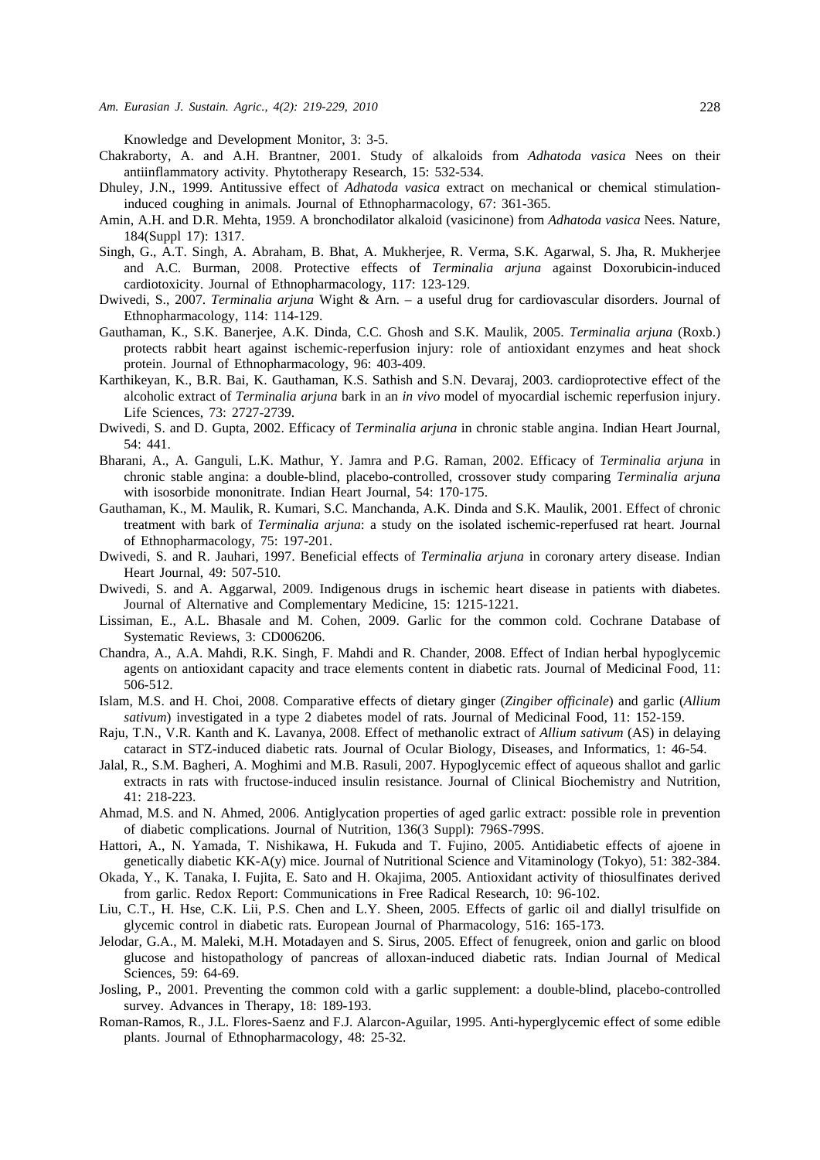Knowledge and Development Monitor, 3: 3-5.

- Chakraborty, A. and A.H. Brantner, 2001. Study of alkaloids from *Adhatoda vasica* Nees on their antiinflammatory activity. Phytotherapy Research, 15: 532-534.
- Dhuley, J.N., 1999. Antitussive effect of *Adhatoda vasica* extract on mechanical or chemical stimulationinduced coughing in animals. Journal of Ethnopharmacology, 67: 361-365.
- Amin, A.H. and D.R. Mehta, 1959. A bronchodilator alkaloid (vasicinone) from *Adhatoda vasica* Nees. Nature, 184(Suppl 17): 1317.
- Singh, G., A.T. Singh, A. Abraham, B. Bhat, A. Mukherjee, R. Verma, S.K. Agarwal, S. Jha, R. Mukherjee and A.C. Burman, 2008. Protective effects of *Terminalia arjuna* against Doxorubicin-induced cardiotoxicity. Journal of Ethnopharmacology, 117: 123-129.
- Dwivedi, S., 2007. *Terminalia arjuna* Wight & Arn. a useful drug for cardiovascular disorders. Journal of Ethnopharmacology, 114: 114-129.
- Gauthaman, K., S.K. Banerjee, A.K. Dinda, C.C. Ghosh and S.K. Maulik, 2005. *Terminalia arjuna* (Roxb.) protects rabbit heart against ischemic-reperfusion injury: role of antioxidant enzymes and heat shock protein. Journal of Ethnopharmacology, 96: 403-409.
- Karthikeyan, K., B.R. Bai, K. Gauthaman, K.S. Sathish and S.N. Devaraj, 2003. cardioprotective effect of the alcoholic extract of *Terminalia arjuna* bark in an *in vivo* model of myocardial ischemic reperfusion injury. Life Sciences, 73: 2727-2739.
- Dwivedi, S. and D. Gupta, 2002. Efficacy of *Terminalia arjuna* in chronic stable angina. Indian Heart Journal, 54: 441.
- Bharani, A., A. Ganguli, L.K. Mathur, Y. Jamra and P.G. Raman, 2002. Efficacy of *Terminalia arjuna* in chronic stable angina: a double-blind, placebo-controlled, crossover study comparing *Terminalia arjuna* with isosorbide mononitrate. Indian Heart Journal, 54: 170-175.
- Gauthaman, K., M. Maulik, R. Kumari, S.C. Manchanda, A.K. Dinda and S.K. Maulik, 2001. Effect of chronic treatment with bark of *Terminalia arjuna*: a study on the isolated ischemic-reperfused rat heart. Journal of Ethnopharmacology, 75: 197-201.
- Dwivedi, S. and R. Jauhari, 1997. Beneficial effects of *Terminalia arjuna* in coronary artery disease. Indian Heart Journal, 49: 507-510.
- Dwivedi, S. and A. Aggarwal, 2009. Indigenous drugs in ischemic heart disease in patients with diabetes. Journal of Alternative and Complementary Medicine, 15: 1215-1221.
- Lissiman, E., A.L. Bhasale and M. Cohen, 2009. Garlic for the common cold. Cochrane Database of Systematic Reviews, 3: CD006206.
- Chandra, A., A.A. Mahdi, R.K. Singh, F. Mahdi and R. Chander, 2008. Effect of Indian herbal hypoglycemic agents on antioxidant capacity and trace elements content in diabetic rats. Journal of Medicinal Food, 11: 506-512.
- Islam, M.S. and H. Choi, 2008. Comparative effects of dietary ginger (*Zingiber officinale*) and garlic (*Allium sativum*) investigated in a type 2 diabetes model of rats. Journal of Medicinal Food, 11: 152-159.
- Raju, T.N., V.R. Kanth and K. Lavanya, 2008. Effect of methanolic extract of *Allium sativum* (AS) in delaying cataract in STZ-induced diabetic rats. Journal of Ocular Biology, Diseases, and Informatics, 1: 46-54.
- Jalal, R., S.M. Bagheri, A. Moghimi and M.B. Rasuli, 2007. Hypoglycemic effect of aqueous shallot and garlic extracts in rats with fructose-induced insulin resistance. Journal of Clinical Biochemistry and Nutrition, 41: 218-223.
- Ahmad, M.S. and N. Ahmed, 2006. Antiglycation properties of aged garlic extract: possible role in prevention of diabetic complications. Journal of Nutrition, 136(3 Suppl): 796S-799S.
- Hattori, A., N. Yamada, T. Nishikawa, H. Fukuda and T. Fujino, 2005. Antidiabetic effects of ajoene in genetically diabetic KK-A(y) mice. Journal of Nutritional Science and Vitaminology (Tokyo), 51: 382-384.
- Okada, Y., K. Tanaka, I. Fujita, E. Sato and H. Okajima, 2005. Antioxidant activity of thiosulfinates derived from garlic. Redox Report: Communications in Free Radical Research, 10: 96-102.
- Liu, C.T., H. Hse, C.K. Lii, P.S. Chen and L.Y. Sheen, 2005. Effects of garlic oil and diallyl trisulfide on glycemic control in diabetic rats. European Journal of Pharmacology, 516: 165-173.
- Jelodar, G.A., M. Maleki, M.H. Motadayen and S. Sirus, 2005. Effect of fenugreek, onion and garlic on blood glucose and histopathology of pancreas of alloxan-induced diabetic rats. Indian Journal of Medical Sciences, 59: 64-69.
- Josling, P., 2001. Preventing the common cold with a garlic supplement: a double-blind, placebo-controlled survey. Advances in Therapy, 18: 189-193.
- Roman-Ramos, R., J.L. Flores-Saenz and F.J. Alarcon-Aguilar, 1995. Anti-hyperglycemic effect of some edible plants. Journal of Ethnopharmacology, 48: 25-32.